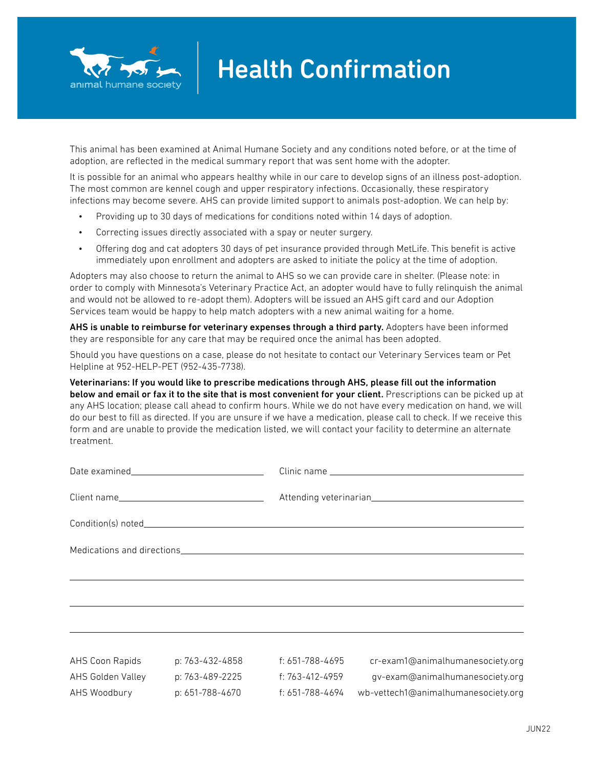

# Health Confirmation

This animal has been examined at Animal Humane Society and any conditions noted before, or at the time of adoption, are reflected in the medical summary report that was sent home with the adopter.

It is possible for an animal who appears healthy while in our care to develop signs of an illness post-adoption. The most common are kennel cough and upper respiratory infections. Occasionally, these respiratory infections may become severe. AHS can provide limited support to animals post-adoption. We can help by:

- Providing up to 30 days of medications for conditions noted within 14 days of adoption.
- Correcting issues directly associated with a spay or neuter surgery.
- Offering dog and cat adopters 30 days of pet insurance provided through MetLife. This benefit is active immediately upon enrollment and adopters are asked to initiate the policy at the time of adoption.

Adopters may also choose to return the animal to AHS so we can provide care in shelter. (Please note: in order to comply with Minnesota's Veterinary Practice Act, an adopter would have to fully relinquish the animal and would not be allowed to re-adopt them). Adopters will be issued an AHS gift card and our Adoption Services team would be happy to help match adopters with a new animal waiting for a home.

AHS is unable to reimburse for veterinary expenses through a third party. Adopters have been informed they are responsible for any care that may be required once the animal has been adopted.

Should you have questions on a case, please do not hesitate to contact our Veterinary Services team or Pet Helpline at 952-HELP-PET (952-435-7738).

Veterinarians: If you would like to prescribe medications through AHS, please fill out the information below and email or fax it to the site that is most convenient for your client. Prescriptions can be picked up at any AHS location; please call ahead to confirm hours. While we do not have every medication on hand, we will do our best to fill as directed. If you are unsure if we have a medication, please call to check. If we receive this form and are unable to provide the medication listed, we will contact your facility to determine an alternate treatment.

|                   |                                                 | Attending veterinarian. Manuscription of the Attending veterinarian. |                                  |
|-------------------|-------------------------------------------------|----------------------------------------------------------------------|----------------------------------|
|                   |                                                 |                                                                      |                                  |
|                   |                                                 |                                                                      |                                  |
|                   |                                                 |                                                                      |                                  |
|                   |                                                 |                                                                      |                                  |
|                   |                                                 |                                                                      |                                  |
|                   | AHS Coon Rapids p: 763-432-4858 f: 651-788-4695 |                                                                      | cr-exam1@animalhumanesociety.org |
| AHS Golden Valley | p: 763-489-2225 f: 763-412-4959                 |                                                                      | gv-exam@animalhumanesociety.org  |

AHS Woodbury p: 651-788-4670 f: 651-788-4694 wb-vettech1@animalhumanesociety.org